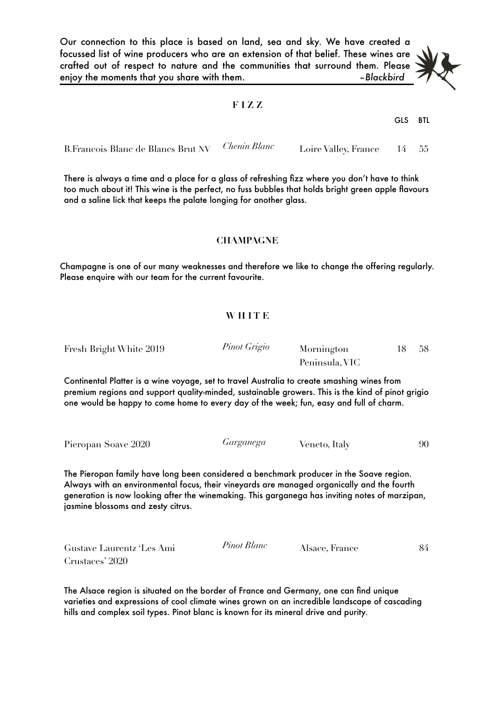Our connection to this place is based on land, sea and sky. We have created a focussed list of wine producers who are an extension of that belief. These wines are crafted out of respect to nature and the communities that surround them. Please enjoy the moments that you share with them. *are a set of the moments* that you share with them.

## **F I Z Z**

GLS BTL

| B. Francois Blanc de Blancs Brut NV Chenin Blanc | Loire Valley, France 14 55 |  |
|--------------------------------------------------|----------------------------|--|

There is always a time and a place for a glass of refreshing fizz where you don't have to think too much about it! This wine is the perfect, no fuss bubbles that holds bright green apple flavours and a saline lick that keeps the palate longing for another glass.

### **CHAMPAGNE**

Champagne is one of our many weaknesses and therefore we like to change the offering regularly. Please enquire with our team for the current favourite.

## **W H I T E**

Fresh Bright White 2019 *Pinot Grigio* Mornington Peninsula, VIC 18 58

Continental Platter is a wine voyage, set to travel Australia to create smashing wines from premium regions and support quality-minded, sustainable growers. This is the kind of pinot grigio one would be happy to come home to every day of the week; fun, easy and full of charm.

|  | Pieropan Soave 2020 | Garganega | Veneto, Italy | 90 |
|--|---------------------|-----------|---------------|----|
|--|---------------------|-----------|---------------|----|

The Pieropan family have long been considered a benchmark producer in the Soave region. Always with an environmental focus, their vineyards are managed organically and the fourth generation is now looking after the winemaking. This garganega has inviting notes of marzipan, jasmine blossoms and zesty citrus.

| Gustave Laurentz 'Les Ami | Pinot Blanc | Alsace, France | 84 |
|---------------------------|-------------|----------------|----|
| Crustaces' 2020           |             |                |    |

The Alsace region is situated on the border of France and Germany, one can find unique varieties and expressions of cool climate wines grown on an incredible landscape of cascading hills and complex soil types. Pinot blanc is known for its mineral drive and purity.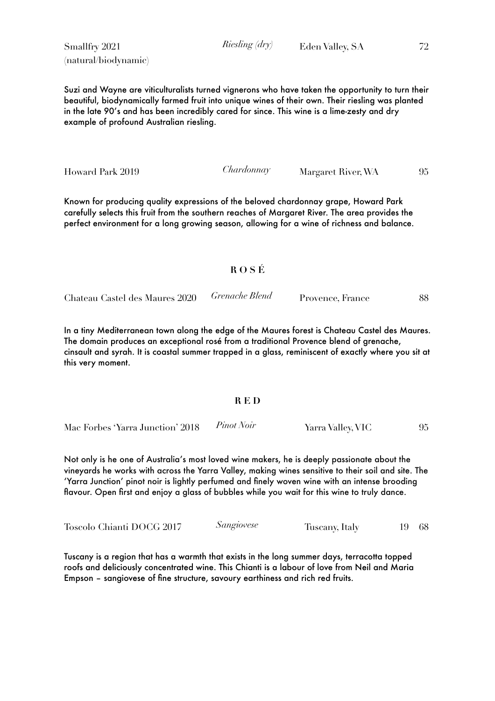Smallfry 2021 (natural/biodynamic)

Suzi and Wayne are viticulturalists turned vignerons who have taken the opportunity to turn their beautiful, biodynamically farmed fruit into unique wines of their own. Their riesling was planted in the late 90's and has been incredibly cared for since. This wine is a lime-zesty and dry example of profound Australian riesling.

Howard Park 2019 *Chardonnay* Margaret River, WA 95

Known for producing quality expressions of the beloved chardonnay grape, Howard Park carefully selects this fruit from the southern reaches of Margaret River. The area provides the perfect environment for a long growing season, allowing for a wine of richness and balance.

# **R O S É**

Chateau Castel des Maures 2020 *Grenache Blend* Provence, France 88

In a tiny Mediterranean town along the edge of the Maures forest is Chateau Castel des Maures. The domain produces an exceptional rosé from a traditional Provence blend of grenache, cinsault and syrah. It is coastal summer trapped in a glass, reminiscent of exactly where you sit at this very moment.

### **R E D**

Mac Forbes 'Yarra Junction' 2018 *Pinot Noir* Yarra Valley, VIC 95

Not only is he one of Australia's most loved wine makers, he is deeply passionate about the vineyards he works with across the Yarra Valley, making wines sensitive to their soil and site. The 'Yarra Junction' pinot noir is lightly perfumed and finely woven wine with an intense brooding flavour. Open first and enjoy a glass of bubbles while you wait for this wine to truly dance.

Toscolo Chianti DOCG 2017 *Sangiovese* Tuscany, Italy 19 68

Tuscany is a region that has a warmth that exists in the long summer days, terracotta topped roofs and deliciously concentrated wine. This Chianti is a labour of love from Neil and Maria Empson – sangiovese of fine structure, savoury earthiness and rich red fruits.